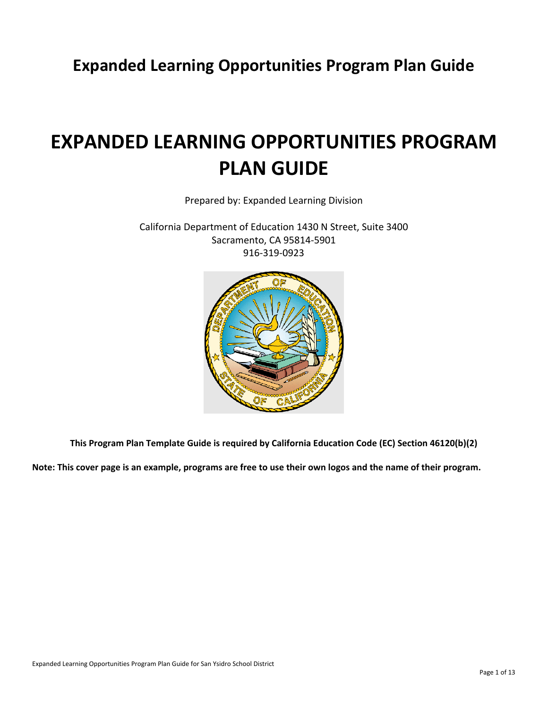**Expanded Learning Opportunities Program Plan Guide**

# **EXPANDED LEARNING OPPORTUNITIES PROGRAM PLAN GUIDE**

Prepared by: Expanded Learning Division

California Department of Education 1430 N Street, Suite 3400 Sacramento, CA 95814-5901 916-319-0923



**This Program Plan Template Guide is required by California Education Code (EC) Section 46120(b)(2)**

**Note: This cover page is an example, programs are free to use their own logos and the name of their program.**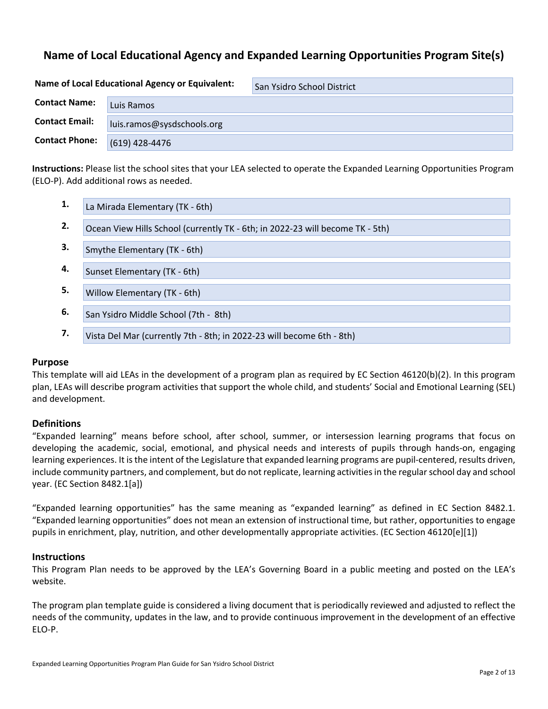# **Name of Local Educational Agency and Expanded Learning Opportunities Program Site(s)**

| Name of Local Educational Agency or Equivalent: |                            | San Ysidro School District |
|-------------------------------------------------|----------------------------|----------------------------|
| <b>Contact Name:</b>                            | Luis Ramos                 |                            |
| <b>Contact Email:</b>                           | luis.ramos@sysdschools.org |                            |
| <b>Contact Phone:</b>                           | (619) 428-4476             |                            |

**Instructions:** Please list the school sites that your LEA selected to operate the Expanded Learning Opportunities Program (ELO-P). Add additional rows as needed.

| 1. | La Mirada Elementary (TK - 6th)                                               |
|----|-------------------------------------------------------------------------------|
| 2. | Ocean View Hills School (currently TK - 6th; in 2022-23 will become TK - 5th) |
| З. | Smythe Elementary (TK - 6th)                                                  |
| 4. | Sunset Elementary (TK - 6th)                                                  |
| 5. | Willow Elementary (TK - 6th)                                                  |
| 6. | San Ysidro Middle School (7th - 8th)                                          |
| 7. | Vista Del Mar (currently 7th - 8th; in 2022-23 will become 6th - 8th)         |

## **Purpose**

This template will aid LEAs in the development of a program plan as required by EC Section 46120(b)(2). In this program plan, LEAs will describe program activities that support the whole child, and students' Social and Emotional Learning (SEL) and development.

## **Definitions**

"Expanded learning" means before school, after school, summer, or intersession learning programs that focus on developing the academic, social, emotional, and physical needs and interests of pupils through hands-on, engaging learning experiences. It is the intent of the Legislature that expanded learning programs are pupil-centered, results driven, include community partners, and complement, but do not replicate, learning activities in the regular school day and school year. (EC Section 8482.1[a])

"Expanded learning opportunities" has the same meaning as "expanded learning" as defined in EC Section 8482.1. "Expanded learning opportunities" does not mean an extension of instructional time, but rather, opportunities to engage pupils in enrichment, play, nutrition, and other developmentally appropriate activities. (EC Section 46120[e][1])

## **Instructions**

This Program Plan needs to be approved by the LEA's Governing Board in a public meeting and posted on the LEA's website.

The program plan template guide is considered a living document that is periodically reviewed and adjusted to reflect the needs of the community, updates in the law, and to provide continuous improvement in the development of an effective ELO-P.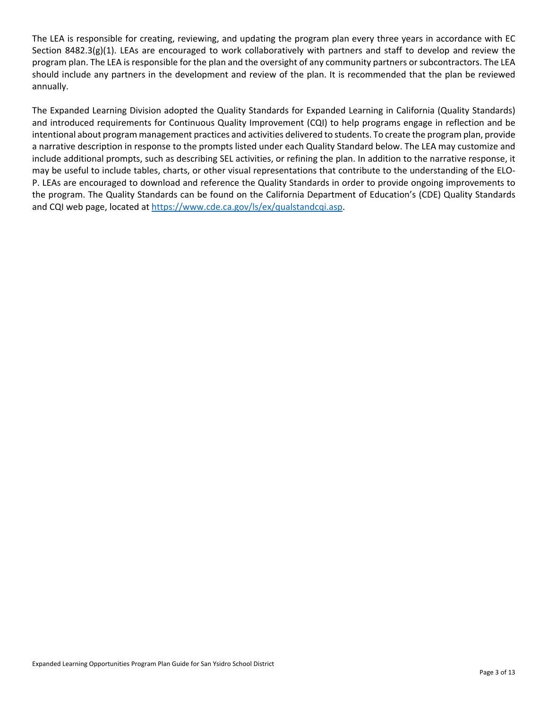The LEA is responsible for creating, reviewing, and updating the program plan every three years in accordance with EC Section 8482.3(g)(1). LEAs are encouraged to work collaboratively with partners and staff to develop and review the program plan. The LEA is responsible for the plan and the oversight of any community partners or subcontractors. The LEA should include any partners in the development and review of the plan. It is recommended that the plan be reviewed annually.

The Expanded Learning Division adopted the Quality Standards for Expanded Learning in California (Quality Standards) and introduced requirements for Continuous Quality Improvement (CQI) to help programs engage in reflection and be intentional about program management practices and activities delivered to students. To create the program plan, provide a narrative description in response to the prompts listed under each Quality Standard below. The LEA may customize and include additional prompts, such as describing SEL activities, or refining the plan. In addition to the narrative response, it may be useful to include tables, charts, or other visual representations that contribute to the understanding of the ELO-P. LEAs are encouraged to download and reference the Quality Standards in order to provide ongoing improvements to the program. The Quality Standards can be found on the California Department of Education's (CDE) Quality Standards and CQI web page, located at [https://www.cde.ca.gov/ls/ex/qualstandcqi.asp.](https://www.cde.ca.gov/ls/ex/qualstandcqi.asp)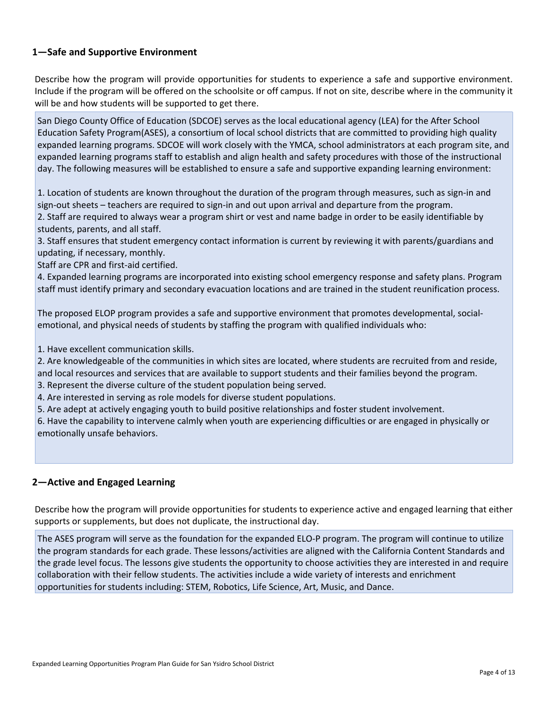# **1—Safe and Supportive Environment**

Describe how the program will provide opportunities for students to experience a safe and supportive environment. Include if the program will be offered on the schoolsite or off campus. If not on site, describe where in the community it will be and how students will be supported to get there.

San Diego County Office of Education (SDCOE) serves as the local educational agency (LEA) for the After School Education Safety Program(ASES), a consortium of local school districts that are committed to providing high quality expanded learning programs. SDCOE will work closely with the YMCA, school administrators at each program site, and expanded learning programs staff to establish and align health and safety procedures with those of the instructional day. The following measures will be established to ensure a safe and supportive expanding learning environment:

1. Location of students are known throughout the duration of the program through measures, such as sign-in and sign-out sheets – teachers are required to sign-in and out upon arrival and departure from the program. 2. Staff are required to always wear a program shirt or vest and name badge in order to be easily identifiable by students, parents, and all staff.

3. Staff ensures that student emergency contact information is current by reviewing it with parents/guardians and updating, if necessary, monthly.

Staff are CPR and first-aid certified.

4. Expanded learning programs are incorporated into existing school emergency response and safety plans. Program staff must identify primary and secondary evacuation locations and are trained in the student reunification process.

The proposed ELOP program provides a safe and supportive environment that promotes developmental, socialemotional, and physical needs of students by staffing the program with qualified individuals who:

1. Have excellent communication skills.

2. Are knowledgeable of the communities in which sites are located, where students are recruited from and reside, and local resources and services that are available to support students and their families beyond the program.

3. Represent the diverse culture of the student population being served.

4. Are interested in serving as role models for diverse student populations.

5. Are adept at actively engaging youth to build positive relationships and foster student involvement.

6. Have the capability to intervene calmly when youth are experiencing difficulties or are engaged in physically or emotionally unsafe behaviors.

# **2—Active and Engaged Learning**

Describe how the program will provide opportunities for students to experience active and engaged learning that either supports or supplements, but does not duplicate, the instructional day.

The ASES program will serve as the foundation for the expanded ELO-P program. The program will continue to utilize the program standards for each grade. These lessons/activities are aligned with the California Content Standards and the grade level focus. The lessons give students the opportunity to choose activities they are interested in and require collaboration with their fellow students. The activities include a wide variety of interests and enrichment opportunities for students including: STEM, Robotics, Life Science, Art, Music, and Dance.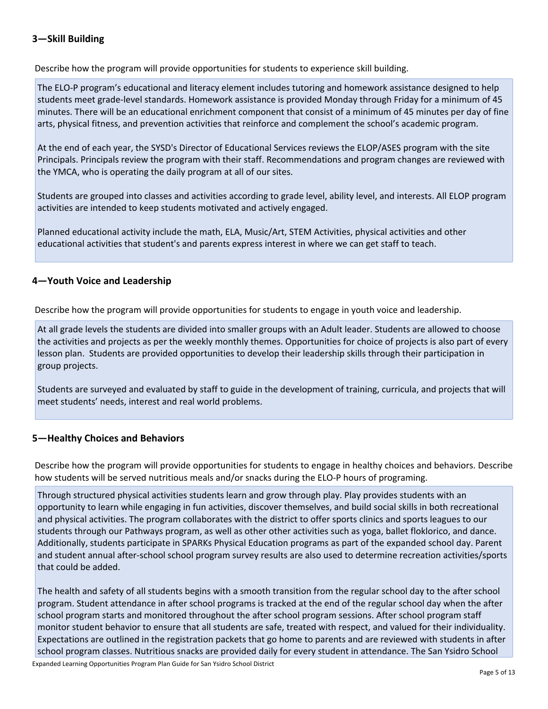# **3—Skill Building**

Describe how the program will provide opportunities for students to experience skill building.

The ELO-P program's educational and literacy element includes tutoring and homework assistance designed to help students meet grade-level standards. Homework assistance is provided Monday through Friday for a minimum of 45 minutes. There will be an educational enrichment component that consist of a minimum of 45 minutes per day of fine arts, physical fitness, and prevention activities that reinforce and complement the school's academic program.

At the end of each year, the SYSD's Director of Educational Services reviews the ELOP/ASES program with the site Principals. Principals review the program with their staff. Recommendations and program changes are reviewed with the YMCA, who is operating the daily program at all of our sites.

Students are grouped into classes and activities according to grade level, ability level, and interests. All ELOP program activities are intended to keep students motivated and actively engaged.

Planned educational activity include the math, ELA, Music/Art, STEM Activities, physical activities and other educational activities that student's and parents express interest in where we can get staff to teach.

# **4—Youth Voice and Leadership**

Describe how the program will provide opportunities for students to engage in youth voice and leadership.

At all grade levels the students are divided into smaller groups with an Adult leader. Students are allowed to choose the activities and projects as per the weekly monthly themes. Opportunities for choice of projects is also part of every lesson plan. Students are provided opportunities to develop their leadership skills through their participation in group projects.

Students are surveyed and evaluated by staff to guide in the development of training, curricula, and projects that will meet students' needs, interest and real world problems.

# **5—Healthy Choices and Behaviors**

Describe how the program will provide opportunities for students to engage in healthy choices and behaviors. Describe how students will be served nutritious meals and/or snacks during the ELO-P hours of programing.

Through structured physical activities students learn and grow through play. Play provides students with an opportunity to learn while engaging in fun activities, discover themselves, and build social skills in both recreational and physical activities. The program collaborates with the district to offer sports clinics and sports leagues to our students through our Pathways program, as well as other other activities such as yoga, ballet floklorico, and dance. Additionally, students participate in SPARKs Physical Education programs as part of the expanded school day. Parent and student annual after-school school program survey results are also used to determine recreation activities/sports that could be added.

The health and safety of all students begins with a smooth transition from the regular school day to the after school program. Student attendance in after school programs is tracked at the end of the regular school day when the after school program starts and monitored throughout the after school program sessions. After school program staff monitor student behavior to ensure that all students are safe, treated with respect, and valued for their individuality. Expectations are outlined in the registration packets that go home to parents and are reviewed with students in after school program classes. Nutritious snacks are provided daily for every student in attendance. The San Ysidro School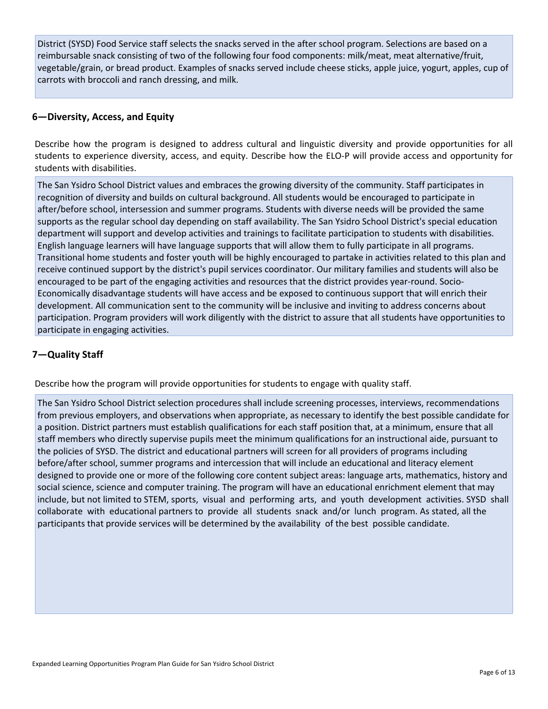District (SYSD) Food Service staff selects the snacks served in the after school program. Selections are based on a reimbursable snack consisting of two of the following four food components: milk/meat, meat alternative/fruit, vegetable/grain, or bread product. Examples of snacks served include cheese sticks, apple juice, yogurt, apples, cup of carrots with broccoli and ranch dressing, and milk.

# **6—Diversity, Access, and Equity**

Describe how the program is designed to address cultural and linguistic diversity and provide opportunities for all students to experience diversity, access, and equity. Describe how the ELO-P will provide access and opportunity for students with disabilities.

The San Ysidro School District values and embraces the growing diversity of the community. Staff participates in recognition of diversity and builds on cultural background. All students would be encouraged to participate in after/before school, intersession and summer programs. Students with diverse needs will be provided the same supports as the regular school day depending on staff availability. The San Ysidro School District's special education department will support and develop activities and trainings to facilitate participation to students with disabilities. English language learners will have language supports that will allow them to fully participate in all programs. Transitional home students and foster youth will be highly encouraged to partake in activities related to this plan and receive continued support by the district's pupil services coordinator. Our military families and students will also be encouraged to be part of the engaging activities and resources that the district provides year-round. Socio-Economically disadvantage students will have access and be exposed to continuous support that will enrich their development. All communication sent to the community will be inclusive and inviting to address concerns about participation. Program providers will work diligently with the district to assure that all students have opportunities to participate in engaging activities.

# **7—Quality Staff**

Describe how the program will provide opportunities for students to engage with quality staff.

The San Ysidro School District selection procedures shall include screening processes, interviews, recommendations from previous employers, and observations when appropriate, as necessary to identify the best possible candidate for a position. District partners must establish qualifications for each staff position that, at a minimum, ensure that all staff members who directly supervise pupils meet the minimum qualifications for an instructional aide, pursuant to the policies of SYSD. The district and educational partners will screen for all providers of programs including before/after school, summer programs and intercession that will include an educational and literacy element designed to provide one or more of the following core content subject areas: language arts, mathematics, history and social science, science and computer training. The program will have an educational enrichment element that may include, but not limited to STEM, sports, visual and performing arts, and youth development activities. SYSD shall collaborate with educational partners to provide all students snack and/or lunch program. As stated, all the participants that provide services will be determined by the availability of the best possible candidate.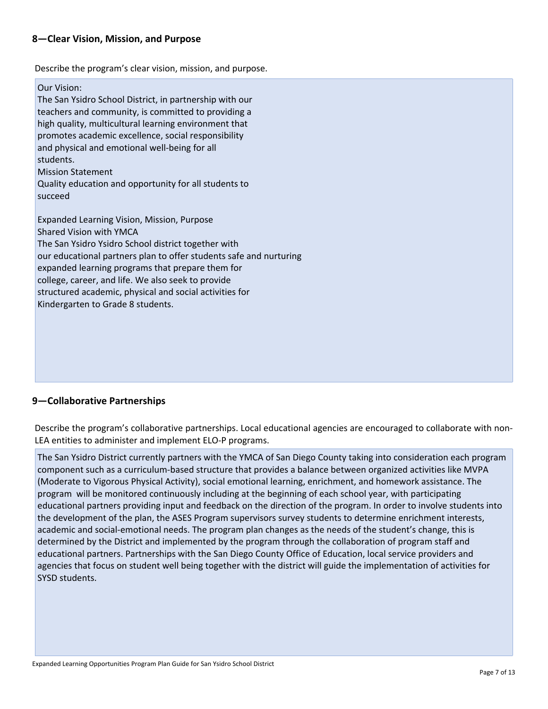# **8—Clear Vision, Mission, and Purpose**

Describe the program's clear vision, mission, and purpose.

#### Our Vision:

The San Ysidro School District, in partnership with our teachers and community, is committed to providing a high quality, multicultural learning environment that promotes academic excellence, social responsibility and physical and emotional well-being for all students. Mission Statement Quality education and opportunity for all students to succeed Expanded Learning Vision, Mission, Purpose

Shared Vision with YMCA The San Ysidro Ysidro School district together with our educational partners plan to offer students safe and nurturing expanded learning programs that prepare them for college, career, and life. We also seek to provide structured academic, physical and social activities for Kindergarten to Grade 8 students.

# **9—Collaborative Partnerships**

Describe the program's collaborative partnerships. Local educational agencies are encouraged to collaborate with non-LEA entities to administer and implement ELO-P programs.

The San Ysidro District currently partners with the YMCA of San Diego County taking into consideration each program component such as a curriculum-based structure that provides a balance between organized activities like MVPA (Moderate to Vigorous Physical Activity), social emotional learning, enrichment, and homework assistance. The program will be monitored continuously including at the beginning of each school year, with participating educational partners providing input and feedback on the direction of the program. In order to involve students into the development of the plan, the ASES Program supervisors survey students to determine enrichment interests, academic and social-emotional needs. The program plan changes as the needs of the student's change, this is determined by the District and implemented by the program through the collaboration of program staff and educational partners. Partnerships with the San Diego County Office of Education, local service providers and agencies that focus on student well being together with the district will guide the implementation of activities for SYSD students.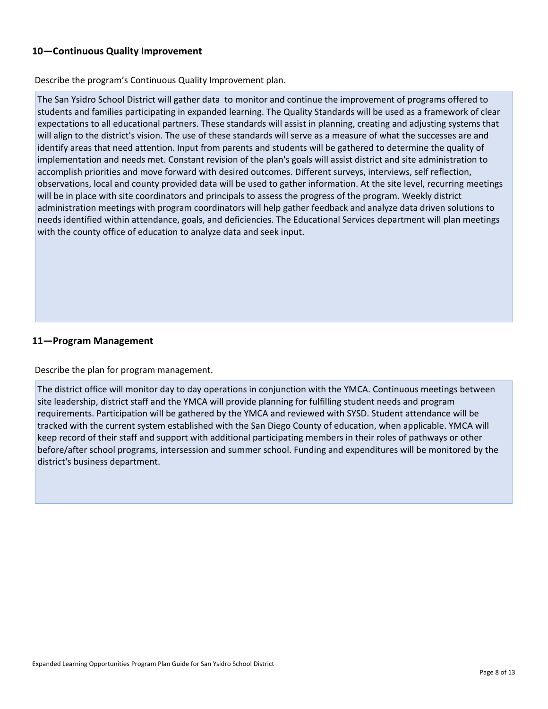# **10—Continuous Quality Improvement**

Describe the program's Continuous Quality Improvement plan.

The San Ysidro School District will gather data to monitor and continue the improvement of programs offered to students and families participating in expanded learning. The Quality Standards will be used as a framework of clear expectations to all educational partners. These standards will assist in planning, creating and adjusting systems that will align to the district's vision. The use of these standards will serve as a measure of what the successes are and identify areas that need attention. Input from parents and students will be gathered to determine the quality of implementation and needs met. Constant revision of the plan's goals will assist district and site administration to accomplish priorities and move forward with desired outcomes. Different surveys, interviews, self reflection, observations, local and county provided data will be used to gather information. At the site level, recurring meetings will be in place with site coordinators and principals to assess the progress of the program. Weekly district administration meetings with program coordinators will help gather feedback and analyze data driven solutions to needs identified within attendance, goals, and deficiencies. The Educational Services department will plan meetings with the county office of education to analyze data and seek input.

# **11—Program Management**

Describe the plan for program management.

The district office will monitor day to day operations in conjunction with the YMCA. Continuous meetings between site leadership, district staff and the YMCA will provide planning for fulfilling student needs and program requirements. Participation will be gathered by the YMCA and reviewed with SYSD. Student attendance will be tracked with the current system established with the San Diego County of education, when applicable. YMCA will keep record of their staff and support with additional participating members in their roles of pathways or other before/after school programs, intersession and summer school. Funding and expenditures will be monitored by the district's business department.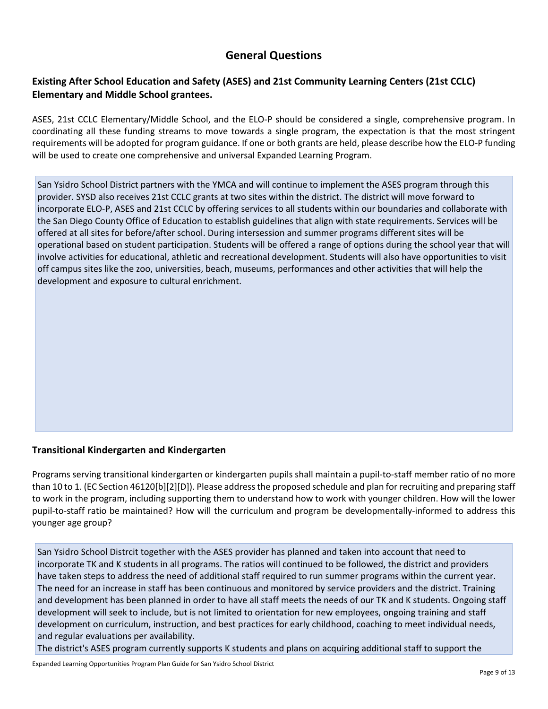# **General Questions**

# **Existing After School Education and Safety (ASES) and 21st Community Learning Centers (21st CCLC) Elementary and Middle School grantees.**

ASES, 21st CCLC Elementary/Middle School, and the ELO-P should be considered a single, comprehensive program. In coordinating all these funding streams to move towards a single program, the expectation is that the most stringent requirements will be adopted for program guidance. If one or both grants are held, please describe how the ELO-P funding will be used to create one comprehensive and universal Expanded Learning Program.

San Ysidro School District partners with the YMCA and will continue to implement the ASES program through this provider. SYSD also receives 21st CCLC grants at two sites within the district. The district will move forward to incorporate ELO-P, ASES and 21st CCLC by offering services to all students within our boundaries and collaborate with the San Diego County Office of Education to establish guidelines that align with state requirements. Services will be offered at all sites for before/after school. During intersession and summer programs different sites will be operational based on student participation. Students will be offered a range of options during the school year that will involve activities for educational, athletic and recreational development. Students will also have opportunities to visit off campus sites like the zoo, universities, beach, museums, performances and other activities that will help the development and exposure to cultural enrichment.

# **Transitional Kindergarten and Kindergarten**

Programs serving transitional kindergarten or kindergarten pupils shall maintain a pupil-to-staff member ratio of no more than 10 to 1. (EC Section 46120[b][2][D]). Please address the proposed schedule and plan for recruiting and preparing staff to work in the program, including supporting them to understand how to work with younger children. How will the lower pupil-to-staff ratio be maintained? How will the curriculum and program be developmentally-informed to address this younger age group?

San Ysidro School Distrcit together with the ASES provider has planned and taken into account that need to incorporate TK and K students in all programs. The ratios will continued to be followed, the district and providers have taken steps to address the need of additional staff required to run summer programs within the current year. The need for an increase in staff has been continuous and monitored by service providers and the district. Training and development has been planned in order to have all staff meets the needs of our TK and K students. Ongoing staff development will seek to include, but is not limited to orientation for new employees, ongoing training and staff development on curriculum, instruction, and best practices for early childhood, coaching to meet individual needs, and regular evaluations per availability.

The district's ASES program currently supports K students and plans on acquiring additional staff to support the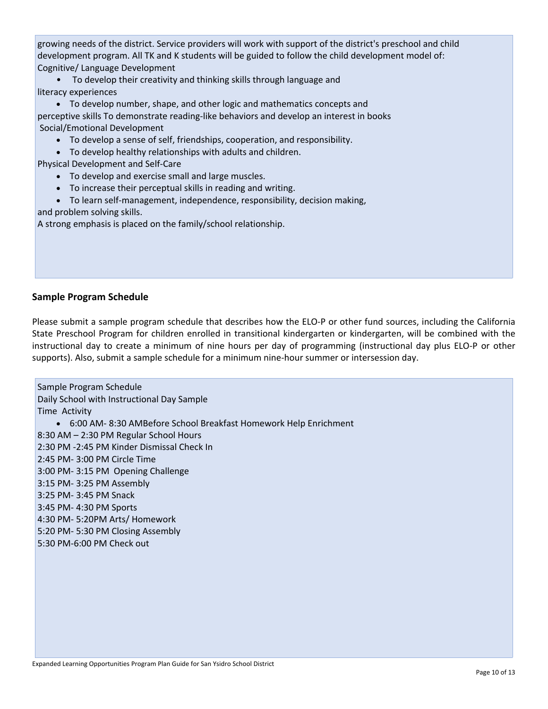growing needs of the district. Service providers will work with support of the district's preschool and child development program. All TK and K students will be guided to follow the child development model of: Cognitive/ Language Development

• To develop their creativity and thinking skills through language and literacy experiences

• To develop number, shape, and other logic and mathematics concepts and perceptive skills To demonstrate reading-like behaviors and develop an interest in books Social/Emotional Development

- To develop a sense of self, friendships, cooperation, and responsibility.
- To develop healthy relationships with adults and children.

Physical Development and Self-Care

- To develop and exercise small and large muscles.
- To increase their perceptual skills in reading and writing.
- To learn self-management, independence, responsibility, decision making,

and problem solving skills.

A strong emphasis is placed on the family/school relationship.

# **Sample Program Schedule**

Please submit a sample program schedule that describes how the ELO-P or other fund sources, including the California State Preschool Program for children enrolled in transitional kindergarten or kindergarten, will be combined with the instructional day to create a minimum of nine hours per day of programming (instructional day plus ELO-P or other supports). Also, submit a sample schedule for a minimum nine-hour summer or intersession day.

Sample Program Schedule Daily School with Instructional Day Sample Time Activity • 6:00 AM- 8:30 AMBefore School Breakfast Homework Help Enrichment 8:30 AM – 2:30 PM Regular School Hours 2:30 PM -2:45 PM Kinder Dismissal Check In 2:45 PM- 3:00 PM Circle Time 3:00 PM- 3:15 PM Opening Challenge 3:15 PM- 3:25 PM Assembly 3:25 PM- 3:45 PM Snack 3:45 PM- 4:30 PM Sports 4:30 PM- 5:20PM Arts/ Homework 5:20 PM- 5:30 PM Closing Assembly 5:30 PM-6:00 PM Check out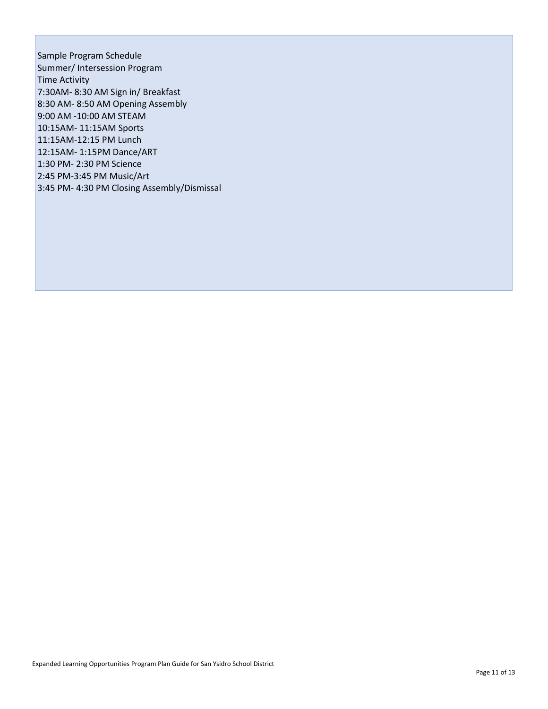Sample Program Schedule Summer/ Intersession Program Time Activity 7:30AM- 8:30 AM Sign in/ Breakfast 8:30 AM- 8:50 AM Opening Assembly 9:00 AM -10:00 AM STEAM 10:15AM- 11:15AM Sports 11:15AM-12:15 PM Lunch 12:15AM- 1:15PM Dance/ART 1:30 PM- 2:30 PM Science 2:45 PM-3:45 PM Music/Art 3:45 PM- 4:30 PM Closing Assembly/Dismissal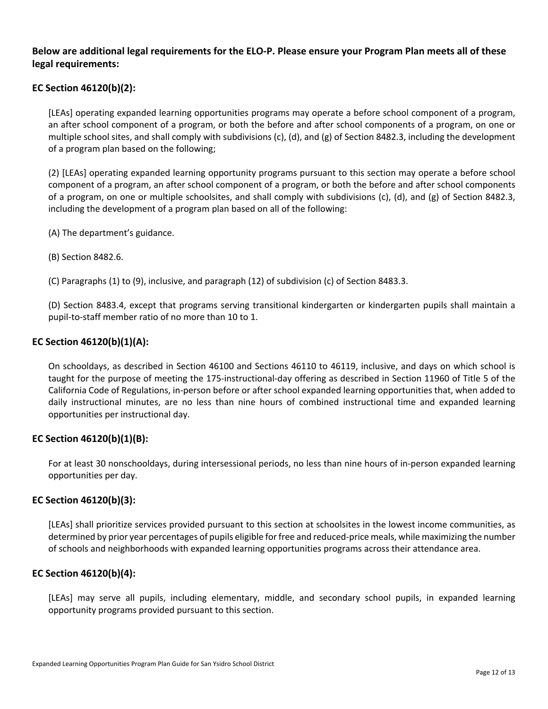# **Below are additional legal requirements for the ELO-P. Please ensure your Program Plan meets all of these legal requirements:**

# **EC Section 46120(b)(2):**

[LEAs] operating expanded learning opportunities programs may operate a before school component of a program, an after school component of a program, or both the before and after school components of a program, on one or multiple school sites, and shall comply with subdivisions (c), (d), and (g) of Section 8482.3, including the development of a program plan based on the following;

(2) [LEAs] operating expanded learning opportunity programs pursuant to this section may operate a before school component of a program, an after school component of a program, or both the before and after school components of a program, on one or multiple schoolsites, and shall comply with subdivisions (c), (d), and (g) of Section 8482.3, including the development of a program plan based on all of the following:

- (A) The department's guidance.
- (B) Section 8482.6.

(C) Paragraphs (1) to (9), inclusive, and paragraph (12) of subdivision (c) of Section 8483.3.

(D) Section 8483.4, except that programs serving transitional kindergarten or kindergarten pupils shall maintain a pupil-to-staff member ratio of no more than 10 to 1.

## **EC Section 46120(b)(1)(A):**

On schooldays, as described in Section 46100 and Sections 46110 to 46119, inclusive, and days on which school is taught for the purpose of meeting the 175-instructional-day offering as described in Section 11960 of Title 5 of the California Code of Regulations, in-person before or after school expanded learning opportunities that, when added to daily instructional minutes, are no less than nine hours of combined instructional time and expanded learning opportunities per instructional day.

## **EC Section 46120(b)(1)(B):**

For at least 30 nonschooldays, during intersessional periods, no less than nine hours of in-person expanded learning opportunities per day.

## **EC Section 46120(b)(3):**

[LEAs] shall prioritize services provided pursuant to this section at schoolsites in the lowest income communities, as determined by prior year percentages of pupils eligible for free and reduced-price meals, while maximizing the number of schools and neighborhoods with expanded learning opportunities programs across their attendance area.

## **EC Section 46120(b)(4):**

[LEAs] may serve all pupils, including elementary, middle, and secondary school pupils, in expanded learning opportunity programs provided pursuant to this section.